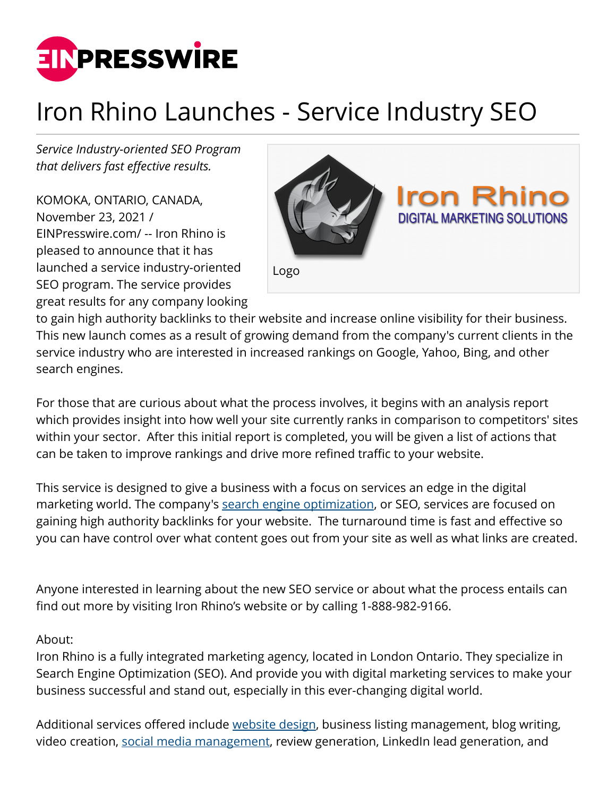

## Iron Rhino Launches - Service Industry SEO

*Service Industry-oriented SEO Program that delivers fast effective results.*

KOMOKA, ONTARIO, CANADA, November 23, 2021 / [EINPresswire.com](http://www.einpresswire.com)/ -- Iron Rhino is pleased to announce that it has launched a service industry-oriented SEO program. The service provides great results for any company looking



to gain high authority backlinks to their website and increase online visibility for their business. This new launch comes as a result of growing demand from the company's current clients in the service industry who are interested in increased rankings on Google, Yahoo, Bing, and other search engines.

For those that are curious about what the process involves, it begins with an analysis report which provides insight into how well your site currently ranks in comparison to competitors' sites within your sector. After this initial report is completed, you will be given a list of actions that can be taken to improve rankings and drive more refined traffic to your website.

This service is designed to give a business with a focus on services an edge in the digital marketing world. The company's [search engine optimization,](https://ironrhinodigital.com/seo-agency/) or SEO, services are focused on gaining high authority backlinks for your website. The turnaround time is fast and effective so you can have control over what content goes out from your site as well as what links are created.

Anyone interested in learning about the new SEO service or about what the process entails can find out more by visiting Iron Rhino's website or by calling 1-888-982-9166.

## About:

Iron Rhino is a fully integrated marketing agency, located in London Ontario. They specialize in Search Engine Optimization (SEO). And provide you with digital marketing services to make your business successful and stand out, especially in this ever-changing digital world.

Additional services offered include [website design](https://ironrhinodigital.com/website-development/), business listing management, blog writing, video creation, [social media management](https://ironrhinodigital.com/social-media-services/), review generation, LinkedIn lead generation, and